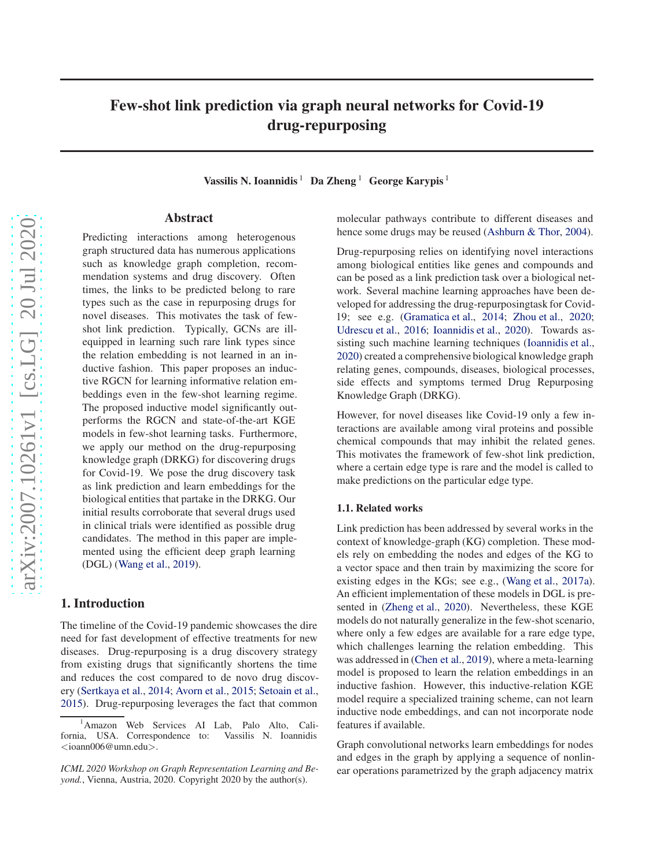# Few-shot link prediction via graph neural networks for Covid-19 drug-repurposing

Vassilis N. Ioannidis  $1$  Da Zheng  $1$  George Karypis  $1$ 

## Abstract

Predicting interactions among heterogenous graph structured data has numerous applications such as knowledge graph completion, recommendation systems and drug discovery. Often times, the links to be predicted belong to rare types such as the case in repurposing drugs for novel diseases. This motivates the task of fewshot link prediction. Typically, GCNs are illequipped in learning such rare link types since the relation embedding is not learned in an inductive fashion. This paper proposes an inductive RGCN for learning informative relation embeddings even in the few-shot learning regime. The proposed inductive model significantly outperforms the RGCN and state-of-the-art KGE models in few-shot learning tasks. Furthermore, we apply our method on the drug-repurposing knowledge graph (DRKG) for discovering drugs for Covid-19. We pose the drug discovery task as link prediction and learn embeddings for the biological entities that partake in the DRKG. Our initial results corroborate that several drugs used in clinical trials were identified as possible drug candidates. The method in this paper are implemented using the efficient deep graph learning (DGL) [\(Wang et al.,](#page-5-0) [2019\)](#page-5-0).

## 1. Introduction

The timeline of the Covid-19 pandemic showcases the dire need for fast development of effective treatments for new diseases. Drug-repurposing is a drug discovery strategy from existing drugs that significantly shortens the time and reduces the cost compared to de novo drug discovery [\(Sertkaya et al.,](#page-4-0) [2014](#page-4-0); [Avorn et al.,](#page-4-0) [2015;](#page-4-0) [Setoain et al.](#page-4-0), [2015\)](#page-4-0). Drug-repurposing leverages the fact that common

molecular pathways contribute to different diseases and hence some drugs may be reused [\(Ashburn & Thor,](#page-4-0) [2004\)](#page-4-0).

Drug-repurposing relies on identifying novel interactions among biological entities like genes and compounds and can be posed as a link prediction task over a biological network. Several machine learning approaches have been developed for addressing the drug-repurposingtask for Covid-19; see e.g. [\(Gramatica et al.,](#page-4-0) [2014](#page-4-0); [Zhou et al.](#page-5-0), [2020;](#page-5-0) [Udrescu et al.,](#page-5-0) [2016;](#page-5-0) [Ioannidis et al.](#page-4-0), [2020\)](#page-4-0). Towards assisting such machine learning techniques [\(Ioannidis et al.](#page-4-0), [2020\)](#page-4-0) created a comprehensive biological knowledge graph relating genes, compounds, diseases, biological processes, side effects and symptoms termed Drug Repurposing Knowledge Graph (DRKG).

However, for novel diseases like Covid-19 only a few interactions are available among viral proteins and possible chemical compounds that may inhibit the related genes. This motivates the framework of few-shot link prediction, where a certain edge type is rare and the model is called to make predictions on the particular edge type.

#### 1.1. Related works

Link prediction has been addressed by several works in the context of knowledge-graph (KG) completion. These models rely on embedding the nodes and edges of the KG to a vector space and then train by maximizing the score for existing edges in the KGs; see e.g., [\(Wang et al.,](#page-5-0) [2017a\)](#page-5-0). An efficient implementation of these models in DGL is presented in [\(Zheng et al.](#page-5-0), [2020\)](#page-5-0). Nevertheless, these KGE models do not naturally generalize in the few-shot scenario, where only a few edges are available for a rare edge type, which challenges learning the relation embedding. This was addressed in [\(Chen et al.](#page-4-0), [2019\)](#page-4-0), where a meta-learning model is proposed to learn the relation embeddings in an inductive fashion. However, this inductive-relation KGE model require a specialized training scheme, can not learn inductive node embeddings, and can not incorporate node features if available.

Graph convolutional networks learn embeddings for nodes and edges in the graph by applying a sequence of nonlinear operations parametrized by the graph adjacency matrix

<sup>&</sup>lt;sup>1</sup>Amazon Web Services AI Lab, Palo Alto, California, USA. Correspondence to: Vassilis N. Ioannidis <ioann006@umn.edu>.

*ICML 2020 Workshop on Graph Representation Learning and Beyond.*, Vienna, Austria, 2020. Copyright 2020 by the author(s).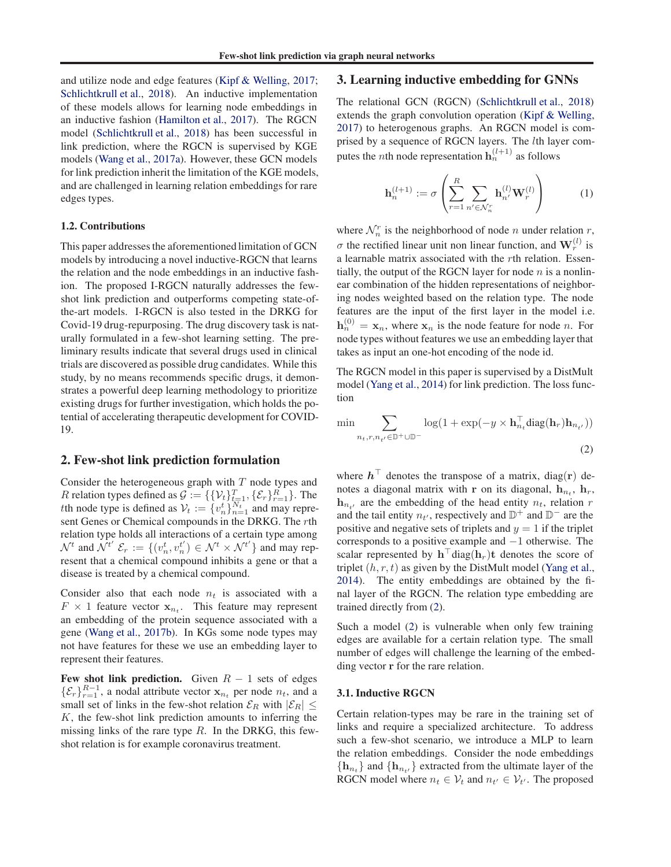<span id="page-1-0"></span>and utilize node and edge features [\(Kipf & Welling](#page-4-0), [2017;](#page-4-0) [Schlichtkrull et al.,](#page-4-0) [2018\)](#page-4-0). An inductive implementation of these models allows for learning node embeddings in an inductive fashion [\(Hamilton et al.](#page-4-0), [2017\)](#page-4-0). The RGCN model [\(Schlichtkrull et al.](#page-4-0), [2018](#page-4-0)) has been successful in link prediction, where the RGCN is supervised by KGE models [\(Wang et al.](#page-5-0), [2017a\)](#page-5-0). However, these GCN models for link prediction inherit the limitation of the KGE models, and are challenged in learning relation embeddings for rare edges types.

### 1.2. Contributions

This paper addresses the aforementioned limitation of GCN models by introducing a novel inductive-RGCN that learns the relation and the node embeddings in an inductive fashion. The proposed I-RGCN naturally addresses the fewshot link prediction and outperforms competing state-ofthe-art models. I-RGCN is also tested in the DRKG for Covid-19 drug-repurposing. The drug discovery task is naturally formulated in a few-shot learning setting. The preliminary results indicate that several drugs used in clinical trials are discovered as possible drug candidates. While this study, by no means recommends specific drugs, it demonstrates a powerful deep learning methodology to prioritize existing drugs for further investigation, which holds the potential of accelerating therapeutic development for COVID-19.

## 2. Few-shot link prediction formulation

Consider the heterogeneous graph with  $T$  node types and R relation types defined as  $\mathcal{G} := \{ \{ \mathcal{V}_t \}_{t=1}^T, \{ \mathcal{E}_r \}_{r=1}^R \}$ . The tth node type is defined as  $V_t := \{v_n^t\}_{n=1}^{N_t}$  and may represent Genes or Chemical compounds in the DRKG. The rth relation type holds all interactions of a certain type among  $\mathcal{N}^t$  and  $\mathcal{N}^{t'}$   $\mathcal{E}_r := \{(v_n^t, v_n^{t'}) \in \mathcal{N}^t \times \mathcal{N}^{t'}\}$  and may represent that a chemical compound inhibits a gene or that a disease is treated by a chemical compound.

Consider also that each node  $n_t$  is associated with a  $F \times 1$  feature vector  $x_{n_t}$ . This feature may represent an embedding of the protein sequence associated with a gene [\(Wang et al.,](#page-5-0) [2017b\)](#page-5-0). In KGs some node types may not have features for these we use an embedding layer to represent their features.

Few shot link prediction. Given  $R - 1$  sets of edges  $\{\mathcal{E}_r\}_{r=1}^{R-1}$ , a nodal attribute vector  $\mathbf{x}_{n_t}$  per node  $n_t$ , and a small set of links in the few-shot relation  $\mathcal{E}_R$  with  $|\mathcal{E}_R| \leq$  $K$ , the few-shot link prediction amounts to inferring the missing links of the rare type  $R$ . In the DRKG, this fewshot relation is for example coronavirus treatment.

## 3. Learning inductive embedding for GNNs

The relational GCN (RGCN) [\(Schlichtkrull et al.,](#page-4-0) [2018\)](#page-4-0) extends the graph convolution operation [\(Kipf & Welling](#page-4-0), [2017\)](#page-4-0) to heterogenous graphs. An RGCN model is comprised by a sequence of RGCN layers. The lth layer computes the *n*th node representation  $h_n^{(l+1)}$  as follows

$$
\mathbf{h}_n^{(l+1)} := \sigma \left( \sum_{r=1}^R \sum_{n' \in \mathcal{N}_n^r} \mathbf{h}_{n'}^{(l)} \mathbf{W}_r^{(l)} \right) \tag{1}
$$

where  $\mathcal{N}_n^r$  is the neighborhood of node *n* under relation *r*,  $\sigma$  the rectified linear unit non linear function, and  $\mathbf{W}_r^{(l)}$  is a learnable matrix associated with the rth relation. Essentially, the output of the RGCN layer for node  $n$  is a nonlinear combination of the hidden representations of neighboring nodes weighted based on the relation type. The node features are the input of the first layer in the model i.e.  $h_n^{(0)} = x_n$ , where  $x_n$  is the node feature for node n. For node types without features we use an embedding layer that takes as input an one-hot encoding of the node id.

The RGCN model in this paper is supervised by a DistMult model [\(Yang et al.](#page-5-0), [2014\)](#page-5-0) for link prediction. The loss function

$$
\min \sum_{n_t, r, n_{t'} \in \mathbb{D}^+ \cup \mathbb{D}^-} \log(1 + \exp(-y \times \mathbf{h}_{n_t}^\top \text{diag}(\mathbf{h}_r) \mathbf{h}_{n_{t'}}))
$$
\n(2)

where  $\mathbf{h}^{\top}$  denotes the transpose of a matrix, diag(r) denotes a diagonal matrix with r on its diagonal,  $\mathbf{h}_{n_t}$ ,  $\mathbf{h}_r$ ,  $h_{n_t}$ , are the embedding of the head entity  $n_t$ , relation r and the tail entity  $n_{t'}$ , respectively and  $\mathbb{D}^+$  and  $\mathbb{D}^-$  are the positive and negative sets of triplets and  $y = 1$  if the triplet corresponds to a positive example and −1 otherwise. The scalar represented by  $\mathbf{h}^\top \text{diag}(\mathbf{h}_r) \mathbf{t}$  denotes the score of triplet  $(h, r, t)$  as given by the DistMult model [\(Yang et al.](#page-5-0), [2014\)](#page-5-0). The entity embeddings are obtained by the final layer of the RGCN. The relation type embedding are trained directly from (2).

Such a model (2) is vulnerable when only few training edges are available for a certain relation type. The small number of edges will challenge the learning of the embedding vector r for the rare relation.

### 3.1. Inductive RGCN

Certain relation-types may be rare in the training set of links and require a specialized architecture. To address such a few-shot scenario, we introduce a MLP to learn the relation embeddings. Consider the node embeddings  ${\bf h}_{n_t}$  and  ${\bf h}_{n_{t'}}$  extracted from the ultimate layer of the RGCN model where  $n_t \in V_t$  and  $n_{t'} \in V_{t'}$ . The proposed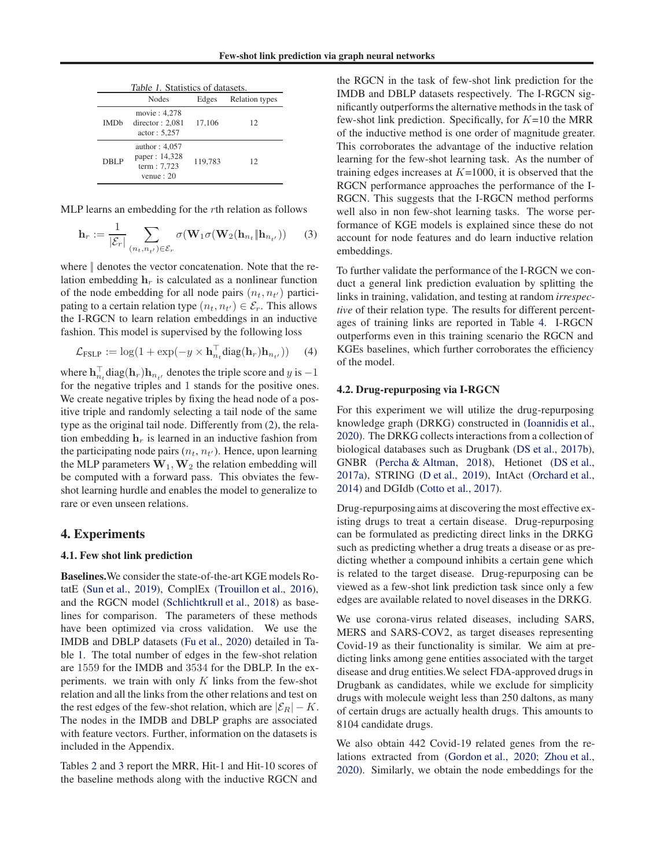<span id="page-2-0"></span>

| <i>Table 1.</i> Statistics of datasets. |                                                                |         |                       |  |  |  |  |  |  |
|-----------------------------------------|----------------------------------------------------------------|---------|-----------------------|--|--|--|--|--|--|
|                                         | <b>Nodes</b>                                                   | Edges   | <b>Relation</b> types |  |  |  |  |  |  |
| <b>IMD<sub>b</sub></b>                  | movie: 4,278<br>director: $2,081$<br>actor: 5,257              | 17,106  | 12                    |  |  |  |  |  |  |
| DBLP                                    | author: $4,057$<br>paper: 14,328<br>term: 7,723<br>venue: $20$ | 119.783 | 12                    |  |  |  |  |  |  |

MLP learns an embedding for the rth relation as follows

$$
\mathbf{h}_r := \frac{1}{|\mathcal{E}_r|} \sum_{(n_t, n_{t'}) \in \mathcal{E}_r} \sigma(\mathbf{W}_1 \sigma(\mathbf{W}_2(\mathbf{h}_{n_t} \| \mathbf{h}_{n_{t'}}))
$$
(3)

where  $\parallel$  denotes the vector concatenation. Note that the relation embedding  $h_r$  is calculated as a nonlinear function of the node embedding for all node pairs  $(n_t, n_{t'})$  participating to a certain relation type  $(n_t, n_{t'}) \in \mathcal{E}_r$ . This allows the I-RGCN to learn relation embeddings in an inductive fashion. This model is supervised by the following loss

$$
\mathcal{L}_{\text{FSLP}} := \log(1 + \exp(-y \times \mathbf{h}_{n_t}^\top \text{diag}(\mathbf{h}_r) \mathbf{h}_{n_{t'}})) \quad (4)
$$

where  $\mathbf{h}_{n_t}^{\top} \text{diag}(\mathbf{h}_r) \mathbf{h}_{n_{t'}}$  denotes the triple score and  $y$  is  $-1$ for the negative triples and 1 stands for the positive ones. We create negative triples by fixing the head node of a positive triple and randomly selecting a tail node of the same type as the original tail node. Differently from [\(2\)](#page-1-0), the relation embedding  $h_r$  is learned in an inductive fashion from the participating node pairs  $(n_t, n_{t'})$ . Hence, upon learning the MLP parameters  $W_1, W_2$  the relation embedding will be computed with a forward pass. This obviates the fewshot learning hurdle and enables the model to generalize to rare or even unseen relations.

## 4. Experiments

#### 4.1. Few shot link prediction

Baselines.We consider the state-of-the-art KGE models RotatE [\(Sun et al.](#page-4-0), [2019\)](#page-4-0), ComplEx [\(Trouillon et al.](#page-4-0), [2016\)](#page-4-0), and the RGCN model [\(Schlichtkrull et al.](#page-4-0), [2018\)](#page-4-0) as baselines for comparison. The parameters of these methods have been optimized via cross validation. We use the IMDB and DBLP datasets [\(Fu et al.,](#page-4-0) [2020\)](#page-4-0) detailed in Table 1. The total number of edges in the few-shot relation are 1559 for the IMDB and 3534 for the DBLP. In the experiments. we train with only  $K$  links from the few-shot relation and all the links from the other relations and test on the rest edges of the few-shot relation, which are  $|\mathcal{E}_R| - K$ . The nodes in the IMDB and DBLP graphs are associated with feature vectors. Further, information on the datasets is included in the Appendix.

Tables [2](#page-3-0) and [3](#page-3-0) report the MRR, Hit-1 and Hit-10 scores of the baseline methods along with the inductive RGCN and

the RGCN in the task of few-shot link prediction for the IMDB and DBLP datasets respectively. The I-RGCN significantly outperforms the alternative methods in the task of few-shot link prediction. Specifically, for  $K=10$  the MRR of the inductive method is one order of magnitude greater. This corroborates the advantage of the inductive relation learning for the few-shot learning task. As the number of training edges increases at  $K=1000$ , it is observed that the RGCN performance approaches the performance of the I-RGCN. This suggests that the I-RGCN method performs well also in non few-shot learning tasks. The worse performance of KGE models is explained since these do not account for node features and do learn inductive relation embeddings.

To further validate the performance of the I-RGCN we conduct a general link prediction evaluation by splitting the links in training, validation, and testing at random *irrespective* of their relation type. The results for different percentages of training links are reported in Table [4.](#page-3-0) I-RGCN outperforms even in this training scenario the RGCN and KGEs baselines, which further corroborates the efficiency of the model.

#### 4.2. Drug-repurposing via I-RGCN

For this experiment we will utilize the drug-repurposing knowledge graph (DRKG) constructed in [\(Ioannidis et al.](#page-4-0), [2020\)](#page-4-0). The DRKG collects interactions from a collection of biological databases such as Drugbank [\(DS et al.](#page-4-0), [2017b\)](#page-4-0), GNBR [\(Percha & Altman,](#page-4-0) [2018\)](#page-4-0), Hetionet [\(DS et al.](#page-4-0), [2017a\)](#page-4-0), STRING [\(D et al.](#page-4-0), [2019\)](#page-4-0), IntAct [\(Orchard et al.](#page-4-0), [2014\)](#page-4-0) and DGIdb [\(Cotto et al.,](#page-4-0) [2017\)](#page-4-0).

Drug-repurposing aims at discovering the most effective existing drugs to treat a certain disease. Drug-repurposing can be formulated as predicting direct links in the DRKG such as predicting whether a drug treats a disease or as predicting whether a compound inhibits a certain gene which is related to the target disease. Drug-repurposing can be viewed as a few-shot link prediction task since only a few edges are available related to novel diseases in the DRKG.

We use corona-virus related diseases, including SARS, MERS and SARS-COV2, as target diseases representing Covid-19 as their functionality is similar. We aim at predicting links among gene entities associated with the target disease and drug entities.We select FDA-approved drugs in Drugbank as candidates, while we exclude for simplicity drugs with molecule weight less than 250 daltons, as many of certain drugs are actually health drugs. This amounts to 8104 candidate drugs.

We also obtain 442 Covid-19 related genes from the relations extracted from [\(Gordon et al.](#page-4-0), [2020](#page-4-0); [Zhou et al.](#page-5-0), [2020\)](#page-5-0). Similarly, we obtain the node embeddings for the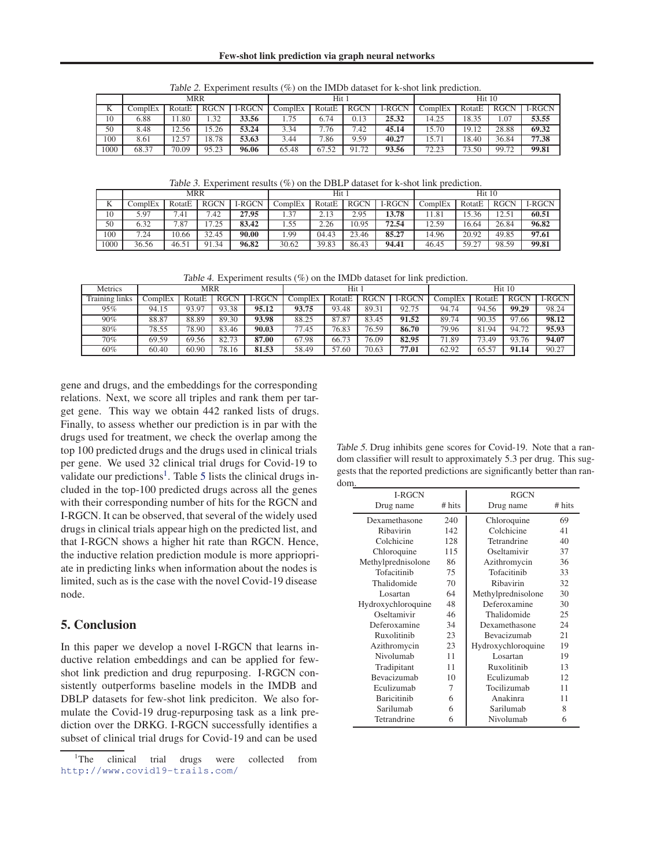<span id="page-3-0"></span>

|      |         | MRR    |             |        | Hit 1   |        |             |        | Hit 10  |        |             |               |
|------|---------|--------|-------------|--------|---------|--------|-------------|--------|---------|--------|-------------|---------------|
| K    | ComplEx | RotatE | <b>RGCN</b> | I-RGCN | ComplEx | RotatE | <b>RGCN</b> | I-RGCN | ComplEx | RotatE | <b>RGCN</b> | <b>I-RGCN</b> |
| 10   | 6.88    | 1.80   | 1.32        | 33.56  | 1.75    | 6.74   | 0.13        | 25.32  | 14.25   | 18.35  | 1.07        | 53.55         |
| 50   | 8.48    | 12.56  | 15.26       | 53.24  | 3.34    | 7.76   | 7.42        | 45.14  | 15.70   | 19.12  | 28.88       | 69.32         |
| 100  | 8.61    | 12.57  | 18.78       | 53.63  | 3.44    | 7.86   | 9.59        | 40.27  | 15.71   | 18.40  | 36.84       | 77.38         |
| 1000 | 68.37   | 70.09  | 95.23       | 96.06  | 65.48   | 67.52  | 91.72       | 93.56  | 72.23   | 73.50  | 99.72       | 99.81         |

Table 2. Experiment results (%) on the IMDb dataset for k-shot link prediction.

Table 3. Experiment results (%) on the DBLP dataset for k-shot link prediction.

|      |         | MRR    |             |               | Hit 1   |        |             |               | Hit 10  |        |             |               |
|------|---------|--------|-------------|---------------|---------|--------|-------------|---------------|---------|--------|-------------|---------------|
|      | ComplEx | RotatE | <b>RGCN</b> | <b>I-RGCN</b> | ComplEx | RotatE | <b>RGCN</b> | <b>I-RGCN</b> | ComplEx | RotatE | <b>RGCN</b> | <b>I-RGCN</b> |
| 10   | 5.97    | 7.41   | 7.42        | 27.95         | 1.37    | 2.13   | 2.95        | 13.78         | 1.81    | 15.36  | 12.51       | 60.51         |
| 50   | 6.32    | 7.87   | 7.25        | 83.42         | 1.55    | 2.26   | 10.95       | 72.54         | 12.59   | 16.64  | 26.84       | 96.82         |
| 100  | 7.24    | 10.66  | 32.45       | 90.00         | .99     | 04.43  | 23.46       | 85.27         | 14.96   | 20.92  | 49.85       | 97.61         |
| 1000 | 36.56   | 46.51  | 91.34       | 96.82         | 30.62   | 39.83  | 86.43       | 94.41         | 46.45   | 59.27  | 98.59       | 99.81         |

Table 4. Experiment results (%) on the IMDb dataset for link prediction.

| Metrics        |         | <b>MRR</b> |             |               | Hit 1   |        |             |        | Hit 10  |        |             |               |
|----------------|---------|------------|-------------|---------------|---------|--------|-------------|--------|---------|--------|-------------|---------------|
| Training links | ComplEx | RotatE     | <b>RGCN</b> | <b>I-RGCN</b> | ComplEx | RotatE | <b>RGCN</b> | I-RGCN | ComplEx | RotatE | <b>RGCN</b> | <b>I-RGCN</b> |
| 95%            | 94.15   | 93.97      | 93.38       | 95.12         | 93.75   | 93.48  | 89.31       | 92.75  | 94.74   | 94.56  | 99.29       | 98.24         |
| 90%            | 88.87   | 88.89      | 89.30       | 93.98         | 88.25   | 87.87  | 83.45       | 91.52  | 89.74   | 90.35  | 97.66       | 98.12         |
| 80%            | 78.55   | 78.90      | 83.46       | 90.03         | 77.45   | 76.83  | 76.59       | 86.70  | 79.96   | 81.94  | 94.72       | 95.93         |
| 70%            | 69.59   | 69.56      | 82.73       | 87.00         | 67.98   | 66.73  | 76.09       | 82.95  | 71.89   | 73.49  | 93.76       | 94.07         |
| 60%            | 60.40   | 60.90      | 78.16       | 81.53         | 58.49   | 57.60  | 70.63       | 77.01  | 62.92   | 65.57  | 91.14       | 90.27         |

gene and drugs, and the embeddings for the corresponding relations. Next, we score all triples and rank them per target gene. This way we obtain 442 ranked lists of drugs. Finally, to assess whether our prediction is in par with the drugs used for treatment, we check the overlap among the top 100 predicted drugs and the drugs used in clinical trials per gene. We used 32 clinical trial drugs for Covid-19 to validate our predictions<sup>1</sup>. Table 5 lists the clinical drugs included in the top-100 predicted drugs across all the genes with their corresponding number of hits for the RGCN and I-RGCN. It can be observed, that several of the widely used drugs in clinical trials appear high on the predicted list, and that I-RGCN shows a higher hit rate than RGCN. Hence, the inductive relation prediction module is more appriopriate in predicting links when information about the nodes is limited, such as is the case with the novel Covid-19 disease node.

## 5. Conclusion

In this paper we develop a novel I-RGCN that learns inductive relation embeddings and can be applied for fewshot link prediction and drug repurposing. I-RGCN consistently outperforms baseline models in the IMDB and DBLP datasets for few-shot link prediciton. We also formulate the Covid-19 drug-repurposing task as a link prediction over the DRKG. I-RGCN successfully identifies a subset of clinical trial drugs for Covid-19 and can be used

Table 5. Drug inhibits gene scores for Covid-19. Note that a random classifier will result to approximately 5.3 per drug. This suggests that the reported predictions are significantly better than random.

| ш. | <b>I-RGCN</b>      | <b>RGCN</b> |                    |        |
|----|--------------------|-------------|--------------------|--------|
|    | Drug name          | # hits      | Drug name          | # hits |
|    | Dexamethasone      | 240         | Chloroquine        | 69     |
|    | Ribavirin          | 142         | Colchicine         | 41     |
|    | Colchicine         | 128         | Tetrandrine        | 40     |
|    | Chloroquine        | 115         | Oseltamivir        | 37     |
|    | Methylprednisolone | 86          | Azithromycin       | 36     |
|    | Tofacitinib        | 75          | Tofacitinib        | 33     |
|    | Thalidomide        | 70          | Ribavirin          | 32     |
|    | Losartan           | 64          | Methylprednisolone | 30     |
|    | Hydroxychloroquine | 48          | Deferoxamine       | 30     |
|    | Oseltamivir        | 46          | Thalidomide        | 25     |
|    | Deferoxamine       | 34          | Dexamethasone      | 24     |
|    | Ruxolitinib        | 23          | <b>Bevacizumab</b> | 21     |
|    | Azithromycin       | 23          | Hydroxychloroquine | 19     |
|    | Nivolumab          | 11          | Losartan           | 19     |
|    | Tradipitant        | 11          | Ruxolitinib        | 13     |
|    | Bevacizumab        | 10          | Eculizumab         | 12     |
|    | Eculizumab         | 7           | Tocilizumab        | 11     |
|    | <b>Baricitinib</b> | 6           | Anakinra           | 11     |
|    | Sarilumab          | 6           | Sarilumab          | 8      |
|    | Tetrandrine        | 6           | Nivolumab          | 6      |

<sup>&</sup>lt;sup>1</sup>The clinical trial drugs were collected from <http://www.covid19-trails.com/>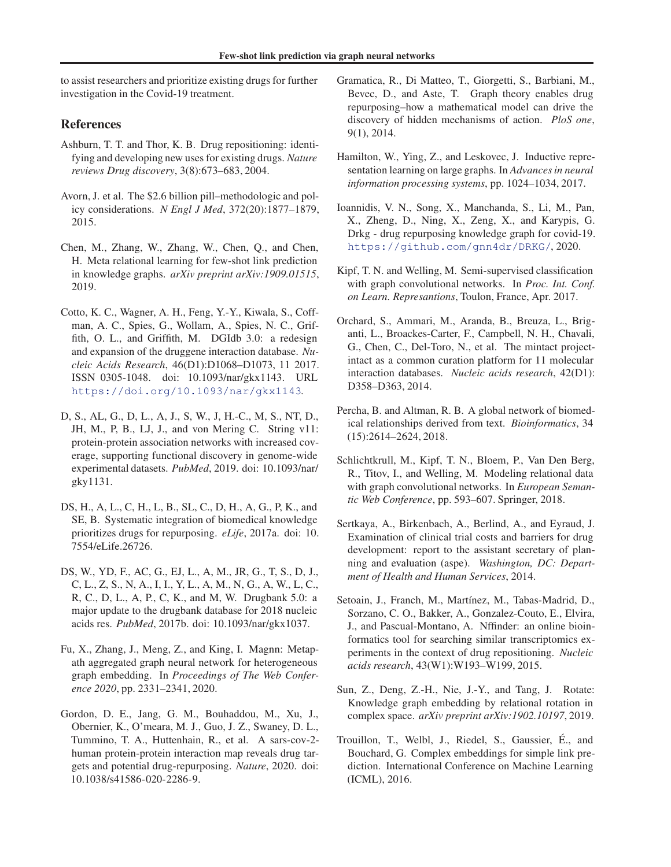<span id="page-4-0"></span>to assist researchers and prioritize existing drugs for further investigation in the Covid-19 treatment.

## References

- Ashburn, T. T. and Thor, K. B. Drug repositioning: identifying and developing new uses for existing drugs. *Nature reviews Drug discovery*, 3(8):673–683, 2004.
- Avorn, J. et al. The \$2.6 billion pill–methodologic and policy considerations. *N Engl J Med*, 372(20):1877–1879, 2015.
- Chen, M., Zhang, W., Zhang, W., Chen, Q., and Chen, H. Meta relational learning for few-shot link prediction in knowledge graphs. *arXiv preprint arXiv:1909.01515*, 2019.
- Cotto, K. C., Wagner, A. H., Feng, Y.-Y., Kiwala, S., Coffman, A. C., Spies, G., Wollam, A., Spies, N. C., Griffith, O. L., and Griffith, M. DGIdb 3.0: a redesign and expansion of the druggene interaction database. *Nucleic Acids Research*, 46(D1):D1068–D1073, 11 2017. ISSN 0305-1048. doi: 10.1093/nar/gkx1143. URL <https://doi.org/10.1093/nar/gkx1143>.
- D, S., AL, G., D, L., A, J., S, W., J, H.-C., M, S., NT, D., JH, M., P, B., LJ, J., and von Mering C. String v11: protein-protein association networks with increased coverage, supporting functional discovery in genome-wide experimental datasets. *PubMed*, 2019. doi: 10.1093/nar/ gky1131.
- DS, H., A, L., C, H., L, B., SL, C., D, H., A, G., P, K., and SE, B. Systematic integration of biomedical knowledge prioritizes drugs for repurposing. *eLife*, 2017a. doi: 10. 7554/eLife.26726.
- DS, W., YD, F., AC, G., EJ, L., A, M., JR, G., T, S., D, J., C, L., Z, S., N, A., I, I., Y, L., A, M., N, G., A, W., L, C., R, C., D, L., A, P., C, K., and M, W. Drugbank 5.0: a major update to the drugbank database for 2018 nucleic acids res. *PubMed*, 2017b. doi: 10.1093/nar/gkx1037.
- Fu, X., Zhang, J., Meng, Z., and King, I. Magnn: Metapath aggregated graph neural network for heterogeneous graph embedding. In *Proceedings of The Web Conference 2020*, pp. 2331–2341, 2020.
- Gordon, D. E., Jang, G. M., Bouhaddou, M., Xu, J., Obernier, K., O'meara, M. J., Guo, J. Z., Swaney, D. L., Tummino, T. A., Huttenhain, R., et al. A sars-cov-2 human protein-protein interaction map reveals drug targets and potential drug-repurposing. *Nature*, 2020. doi: 10.1038/s41586-020-2286-9.
- Gramatica, R., Di Matteo, T., Giorgetti, S., Barbiani, M., Bevec, D., and Aste, T. Graph theory enables drug repurposing–how a mathematical model can drive the discovery of hidden mechanisms of action. *PloS one*, 9(1), 2014.
- Hamilton, W., Ying, Z., and Leskovec, J. Inductive representation learning on large graphs. In *Advances in neural information processing systems*, pp. 1024–1034, 2017.
- Ioannidis, V. N., Song, X., Manchanda, S., Li, M., Pan, X., Zheng, D., Ning, X., Zeng, X., and Karypis, G. Drkg - drug repurposing knowledge graph for covid-19. <https://github.com/gnn4dr/DRKG/>, 2020.
- Kipf, T. N. and Welling, M. Semi-supervised classification with graph convolutional networks. In *Proc. Int. Conf. on Learn. Represantions*, Toulon, France, Apr. 2017.
- Orchard, S., Ammari, M., Aranda, B., Breuza, L., Briganti, L., Broackes-Carter, F., Campbell, N. H., Chavali, G., Chen, C., Del-Toro, N., et al. The mintact projectintact as a common curation platform for 11 molecular interaction databases. *Nucleic acids research*, 42(D1): D358–D363, 2014.
- Percha, B. and Altman, R. B. A global network of biomedical relationships derived from text. *Bioinformatics*, 34 (15):2614–2624, 2018.
- Schlichtkrull, M., Kipf, T. N., Bloem, P., Van Den Berg, R., Titov, I., and Welling, M. Modeling relational data with graph convolutional networks. In *European Semantic Web Conference*, pp. 593–607. Springer, 2018.
- Sertkaya, A., Birkenbach, A., Berlind, A., and Eyraud, J. Examination of clinical trial costs and barriers for drug development: report to the assistant secretary of planning and evaluation (aspe). *Washington, DC: Department of Health and Human Services*, 2014.
- Setoain, J., Franch, M., Martínez, M., Tabas-Madrid, D., Sorzano, C. O., Bakker, A., Gonzalez-Couto, E., Elvira, J., and Pascual-Montano, A. Nffinder: an online bioinformatics tool for searching similar transcriptomics experiments in the context of drug repositioning. *Nucleic acids research*, 43(W1):W193–W199, 2015.
- Sun, Z., Deng, Z.-H., Nie, J.-Y., and Tang, J. Rotate: Knowledge graph embedding by relational rotation in complex space. *arXiv preprint arXiv:1902.10197*, 2019.
- Trouillon, T., Welbl, J., Riedel, S., Gaussier, E., and ´ Bouchard, G. Complex embeddings for simple link prediction. International Conference on Machine Learning (ICML), 2016.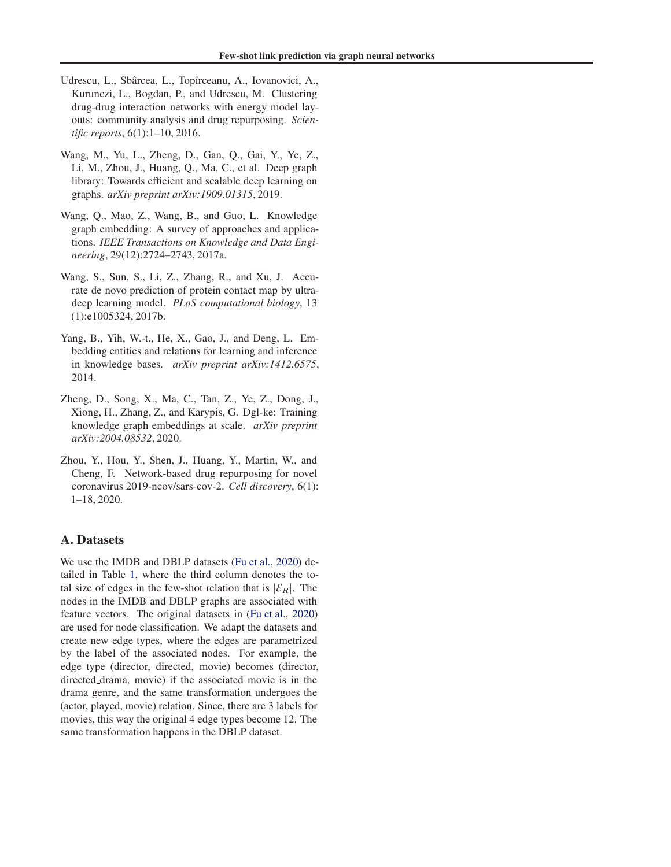- <span id="page-5-0"></span>Udrescu, L., Sbârcea, L., Topîrceanu, A., Iovanovici, A., Kurunczi, L., Bogdan, P., and Udrescu, M. Clustering drug-drug interaction networks with energy model layouts: community analysis and drug repurposing. *Scientific reports*, 6(1):1–10, 2016.
- Wang, M., Yu, L., Zheng, D., Gan, Q., Gai, Y., Ye, Z., Li, M., Zhou, J., Huang, Q., Ma, C., et al. Deep graph library: Towards efficient and scalable deep learning on graphs. *arXiv preprint arXiv:1909.01315*, 2019.
- Wang, Q., Mao, Z., Wang, B., and Guo, L. Knowledge graph embedding: A survey of approaches and applications. *IEEE Transactions on Knowledge and Data Engineering*, 29(12):2724–2743, 2017a.
- Wang, S., Sun, S., Li, Z., Zhang, R., and Xu, J. Accurate de novo prediction of protein contact map by ultradeep learning model. *PLoS computational biology*, 13 (1):e1005324, 2017b.
- Yang, B., Yih, W.-t., He, X., Gao, J., and Deng, L. Embedding entities and relations for learning and inference in knowledge bases. *arXiv preprint arXiv:1412.6575*, 2014.
- Zheng, D., Song, X., Ma, C., Tan, Z., Ye, Z., Dong, J., Xiong, H., Zhang, Z., and Karypis, G. Dgl-ke: Training knowledge graph embeddings at scale. *arXiv preprint arXiv:2004.08532*, 2020.
- Zhou, Y., Hou, Y., Shen, J., Huang, Y., Martin, W., and Cheng, F. Network-based drug repurposing for novel coronavirus 2019-ncov/sars-cov-2. *Cell discovery*, 6(1): 1–18, 2020.

## A. Datasets

We use the IMDB and DBLP datasets [\(Fu et al.,](#page-4-0) [2020](#page-4-0)) detailed in Table [1,](#page-2-0) where the third column denotes the total size of edges in the few-shot relation that is  $|\mathcal{E}_R|$ . The nodes in the IMDB and DBLP graphs are associated with feature vectors. The original datasets in [\(Fu et al.,](#page-4-0) [2020\)](#page-4-0) are used for node classification. We adapt the datasets and create new edge types, where the edges are parametrized by the label of the associated nodes. For example, the edge type (director, directed, movie) becomes (director, directed drama, movie) if the associated movie is in the drama genre, and the same transformation undergoes the (actor, played, movie) relation. Since, there are 3 labels for movies, this way the original 4 edge types become 12. The same transformation happens in the DBLP dataset.